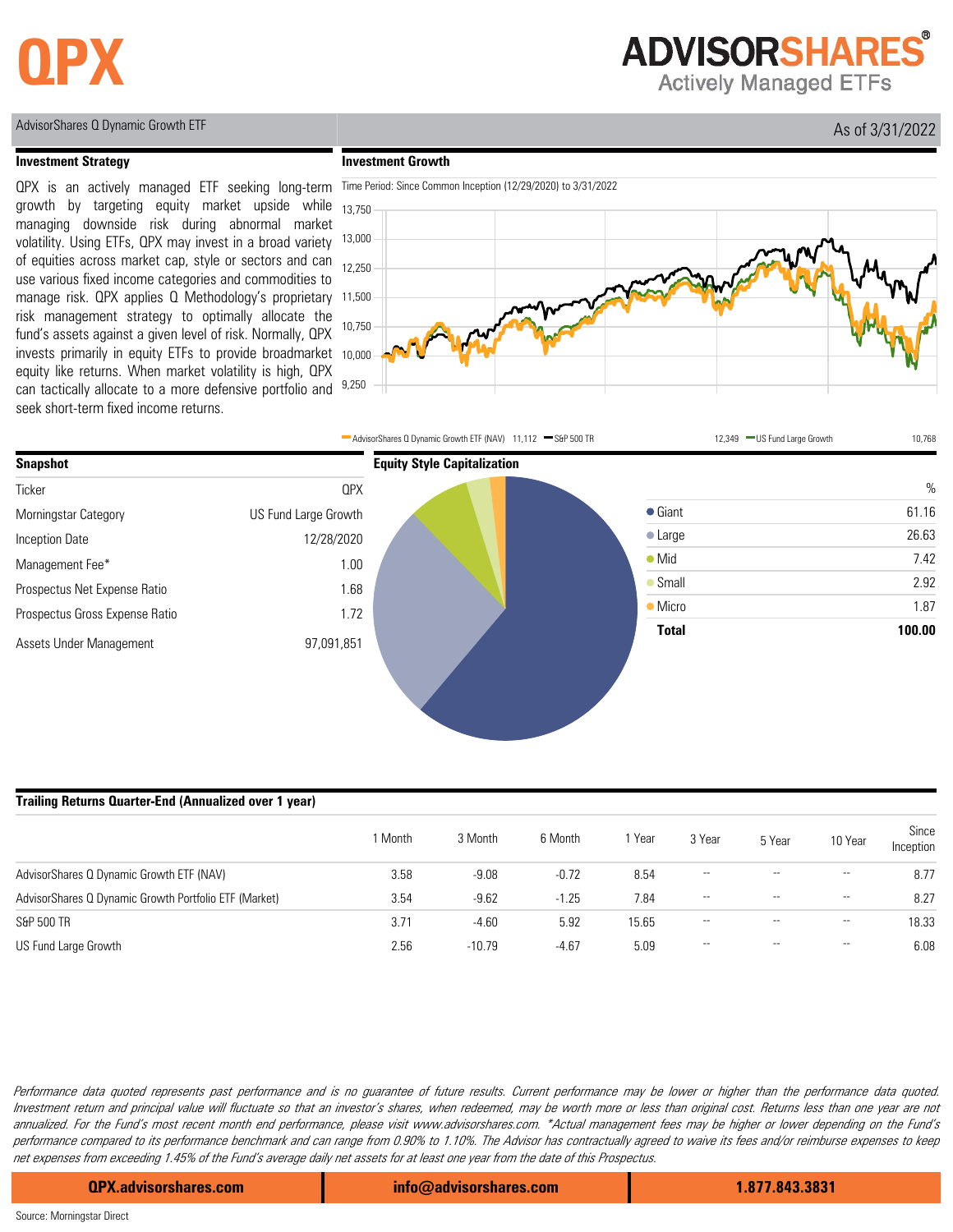## **QPX**

### **ADVISORSHARES® Actively Managed ETFs**

AdvisorShares Q Dynamic Growth ETF As of 3/31/2022

#### **Investment Strategy**

**Investment Growth**







#### **Trailing Returns Quarter-End (Annualized over 1 year)**

|                                                       | 1 Month | 3 Month  | 6 Month | Year  | 3 Year                   | 5 Year | 10 Year                  | Since<br>Inception |
|-------------------------------------------------------|---------|----------|---------|-------|--------------------------|--------|--------------------------|--------------------|
| AdvisorShares Q Dynamic Growth ETF (NAV)              | 3.58    | $-9.08$  | $-0.72$ | 8.54  | $\overline{\phantom{a}}$ |        | $\overline{\phantom{a}}$ | 8.77               |
| AdvisorShares Q Dynamic Growth Portfolio ETF (Market) | 3.54    | $-9.62$  | $-1.25$ | 7.84  | $- -$                    | $- -$  | $- -$                    | 8.27               |
| S&P 500 TR                                            | 3.71    | $-4.60$  | 5.92    | 15.65 | $- -$                    | $- -$  | $\overline{\phantom{a}}$ | 18.33              |
| US Fund Large Growth                                  | 2.56    | $-10.79$ | $-4.67$ | 5.09  | $- -$                    | $- -$  | $\overline{\phantom{a}}$ | 6.08               |

Performance data quoted represents past performance and is no guarantee of future results. Current performance may be lower or higher than the performance data quoted. Investment return and principal value will fluctuate so that an investor's shares, when redeemed, may be worth more or less than original cost. Returns less than one year are not annualized. For the Fund's most recent month end performance, please visit www.advisorshares.com. \*Actual management fees may be higher or lower depending on the Fund's performance compared to its performance benchmark and can range from 0.90% to 1.10%. The Advisor has contractually agreed to waive its fees and/or reimburse expenses to keep net expenses from exceeding 1.45% of the Fund's average daily net assets for at least one year from the date of this Prospectus.

**QPX.advisorshares.com info@advisorshares.com 1.877.843.3831**